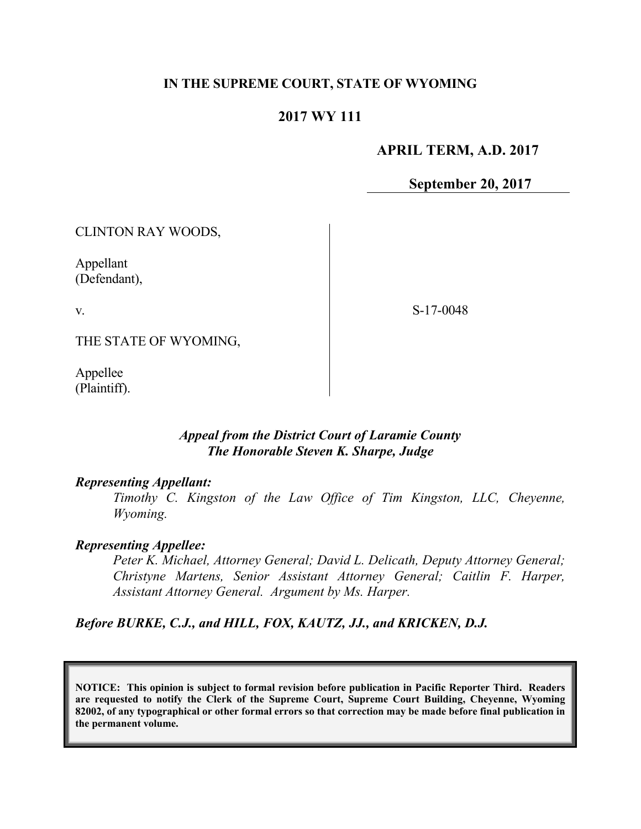#### **IN THE SUPREME COURT, STATE OF WYOMING**

### **2017 WY 111**

#### **APRIL TERM, A.D. 2017**

**September 20, 2017**

CLINTON RAY WOODS,

Appellant (Defendant),

v.

S-17-0048

THE STATE OF WYOMING,

Appellee (Plaintiff).

### *Appeal from the District Court of Laramie County The Honorable Steven K. Sharpe, Judge*

#### *Representing Appellant:*

*Timothy C. Kingston of the Law Office of Tim Kingston, LLC, Cheyenne, Wyoming.*

#### *Representing Appellee:*

*Peter K. Michael, Attorney General; David L. Delicath, Deputy Attorney General; Christyne Martens, Senior Assistant Attorney General; Caitlin F. Harper, Assistant Attorney General. Argument by Ms. Harper.*

*Before BURKE, C.J., and HILL, FOX, KAUTZ, JJ., and KRICKEN, D.J.*

**NOTICE: This opinion is subject to formal revision before publication in Pacific Reporter Third. Readers are requested to notify the Clerk of the Supreme Court, Supreme Court Building, Cheyenne, Wyoming 82002, of any typographical or other formal errors so that correction may be made before final publication in the permanent volume.**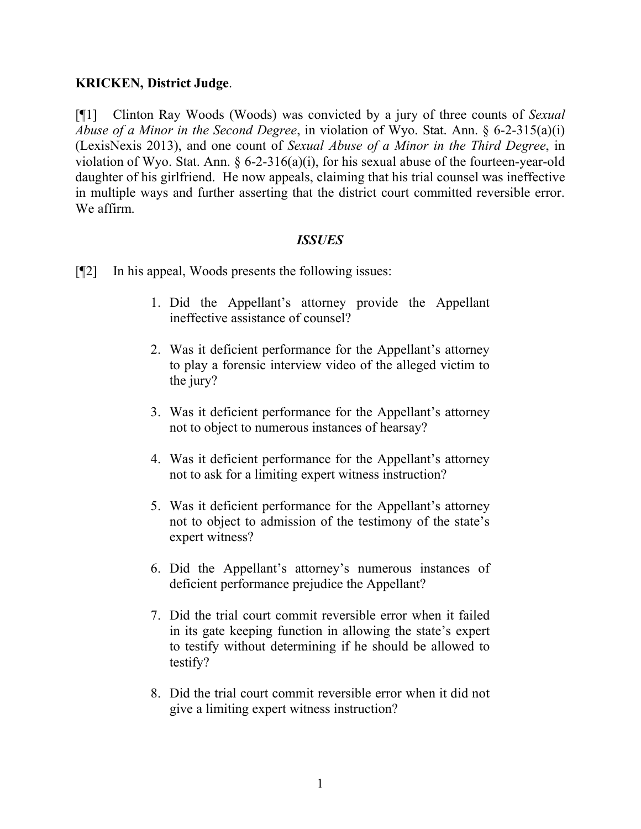### **KRICKEN, District Judge**.

[¶1] Clinton Ray Woods (Woods) was convicted by a jury of three counts of *Sexual Abuse of a Minor in the Second Degree*, in violation of Wyo. Stat. Ann. § 6-2-315(a)(i) (LexisNexis 2013), and one count of *Sexual Abuse of a Minor in the Third Degree*, in violation of Wyo. Stat. Ann.  $\S 6$ -2-316(a)(i), for his sexual abuse of the fourteen-year-old daughter of his girlfriend. He now appeals, claiming that his trial counsel was ineffective in multiple ways and further asserting that the district court committed reversible error. We affirm.

### *ISSUES*

- [¶2] In his appeal, Woods presents the following issues:
	- 1. Did the Appellant's attorney provide the Appellant ineffective assistance of counsel?
	- 2. Was it deficient performance for the Appellant's attorney to play a forensic interview video of the alleged victim to the jury?
	- 3. Was it deficient performance for the Appellant's attorney not to object to numerous instances of hearsay?
	- 4. Was it deficient performance for the Appellant's attorney not to ask for a limiting expert witness instruction?
	- 5. Was it deficient performance for the Appellant's attorney not to object to admission of the testimony of the state's expert witness?
	- 6. Did the Appellant's attorney's numerous instances of deficient performance prejudice the Appellant?
	- 7. Did the trial court commit reversible error when it failed in its gate keeping function in allowing the state's expert to testify without determining if he should be allowed to testify?
	- 8. Did the trial court commit reversible error when it did not give a limiting expert witness instruction?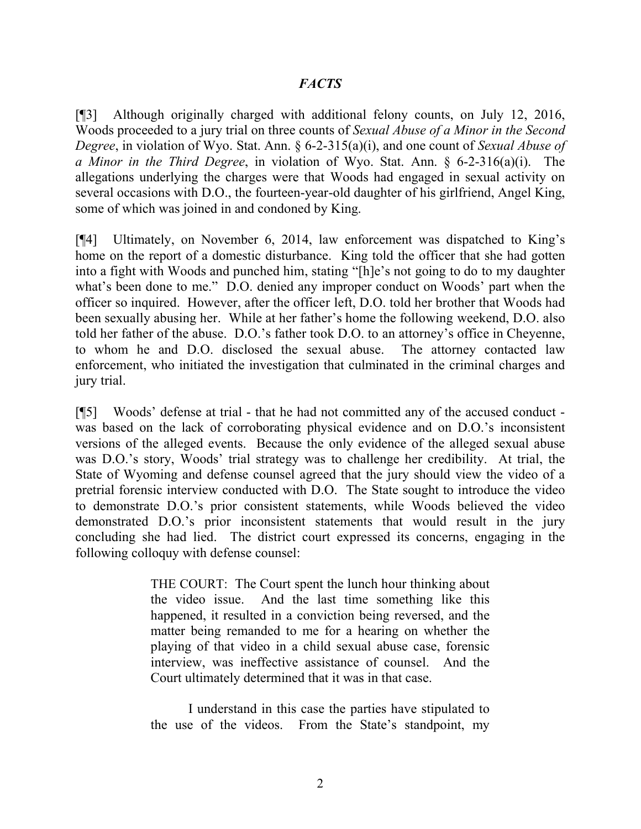### *FACTS*

[¶3] Although originally charged with additional felony counts, on July 12, 2016, Woods proceeded to a jury trial on three counts of *Sexual Abuse of a Minor in the Second Degree*, in violation of Wyo. Stat. Ann. § 6-2-315(a)(i), and one count of *Sexual Abuse of a Minor in the Third Degree*, in violation of Wyo. Stat. Ann. § 6-2-316(a)(i). The allegations underlying the charges were that Woods had engaged in sexual activity on several occasions with D.O., the fourteen-year-old daughter of his girlfriend, Angel King, some of which was joined in and condoned by King.

[¶4] Ultimately, on November 6, 2014, law enforcement was dispatched to King's home on the report of a domestic disturbance. King told the officer that she had gotten into a fight with Woods and punched him, stating "[h]e's not going to do to my daughter what's been done to me." D.O. denied any improper conduct on Woods' part when the officer so inquired. However, after the officer left, D.O. told her brother that Woods had been sexually abusing her. While at her father's home the following weekend, D.O. also told her father of the abuse. D.O.'s father took D.O. to an attorney's office in Cheyenne, to whom he and D.O. disclosed the sexual abuse. The attorney contacted law enforcement, who initiated the investigation that culminated in the criminal charges and jury trial.

[¶5] Woods' defense at trial - that he had not committed any of the accused conduct was based on the lack of corroborating physical evidence and on D.O.'s inconsistent versions of the alleged events. Because the only evidence of the alleged sexual abuse was D.O.'s story, Woods' trial strategy was to challenge her credibility. At trial, the State of Wyoming and defense counsel agreed that the jury should view the video of a pretrial forensic interview conducted with D.O. The State sought to introduce the video to demonstrate D.O.'s prior consistent statements, while Woods believed the video demonstrated D.O.'s prior inconsistent statements that would result in the jury concluding she had lied. The district court expressed its concerns, engaging in the following colloquy with defense counsel:

> THE COURT: The Court spent the lunch hour thinking about the video issue. And the last time something like this happened, it resulted in a conviction being reversed, and the matter being remanded to me for a hearing on whether the playing of that video in a child sexual abuse case, forensic interview, was ineffective assistance of counsel. And the Court ultimately determined that it was in that case.

> I understand in this case the parties have stipulated to the use of the videos. From the State's standpoint, my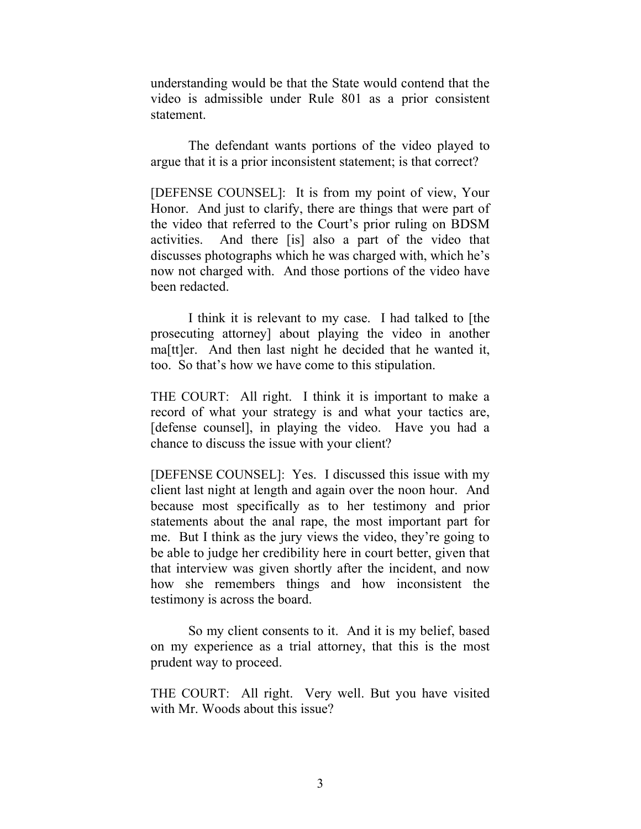understanding would be that the State would contend that the video is admissible under Rule 801 as a prior consistent statement.

The defendant wants portions of the video played to argue that it is a prior inconsistent statement; is that correct?

[DEFENSE COUNSEL]: It is from my point of view, Your Honor. And just to clarify, there are things that were part of the video that referred to the Court's prior ruling on BDSM activities. And there [is] also a part of the video that discusses photographs which he was charged with, which he's now not charged with. And those portions of the video have been redacted.

I think it is relevant to my case. I had talked to [the prosecuting attorney] about playing the video in another ma[tt]er. And then last night he decided that he wanted it, too. So that's how we have come to this stipulation.

THE COURT: All right. I think it is important to make a record of what your strategy is and what your tactics are, [defense counsel], in playing the video. Have you had a chance to discuss the issue with your client?

[DEFENSE COUNSEL]: Yes. I discussed this issue with my client last night at length and again over the noon hour. And because most specifically as to her testimony and prior statements about the anal rape, the most important part for me. But I think as the jury views the video, they're going to be able to judge her credibility here in court better, given that that interview was given shortly after the incident, and now how she remembers things and how inconsistent the testimony is across the board.

So my client consents to it. And it is my belief, based on my experience as a trial attorney, that this is the most prudent way to proceed.

THE COURT: All right. Very well. But you have visited with Mr. Woods about this issue?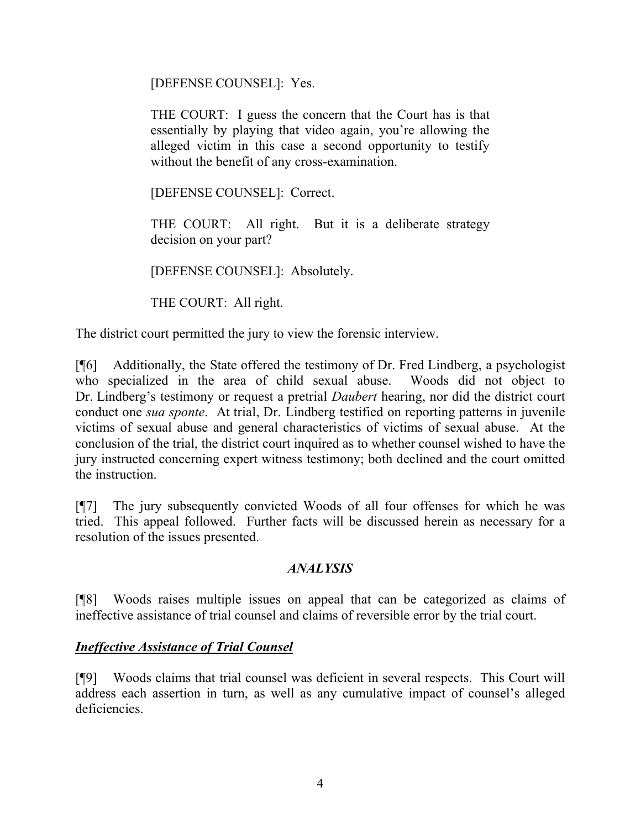[DEFENSE COUNSEL]: Yes.

THE COURT: I guess the concern that the Court has is that essentially by playing that video again, you're allowing the alleged victim in this case a second opportunity to testify without the benefit of any cross-examination.

[DEFENSE COUNSEL]: Correct.

THE COURT: All right. But it is a deliberate strategy decision on your part?

[DEFENSE COUNSEL]: Absolutely.

THE COURT: All right.

The district court permitted the jury to view the forensic interview.

[¶6] Additionally, the State offered the testimony of Dr. Fred Lindberg, a psychologist who specialized in the area of child sexual abuse. Woods did not object to Dr. Lindberg's testimony or request a pretrial *Daubert* hearing, nor did the district court conduct one *sua sponte*. At trial, Dr. Lindberg testified on reporting patterns in juvenile victims of sexual abuse and general characteristics of victims of sexual abuse. At the conclusion of the trial, the district court inquired as to whether counsel wished to have the jury instructed concerning expert witness testimony; both declined and the court omitted the instruction.

[¶7] The jury subsequently convicted Woods of all four offenses for which he was tried. This appeal followed. Further facts will be discussed herein as necessary for a resolution of the issues presented.

#### *ANALYSIS*

[¶8] Woods raises multiple issues on appeal that can be categorized as claims of ineffective assistance of trial counsel and claims of reversible error by the trial court.

### *Ineffective Assistance of Trial Counsel*

[¶9] Woods claims that trial counsel was deficient in several respects. This Court will address each assertion in turn, as well as any cumulative impact of counsel's alleged deficiencies.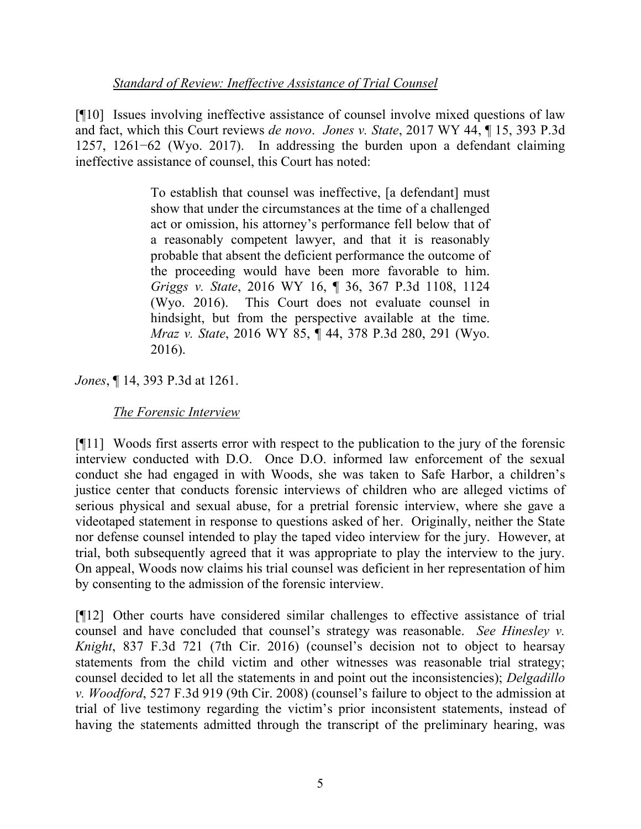### *Standard of Review: Ineffective Assistance of Trial Counsel*

[¶10] Issues involving ineffective assistance of counsel involve mixed questions of law and fact, which this Court reviews *de novo*. *Jones v. State*, 2017 WY 44, ¶ 15, 393 P.3d 1257, 1261−62 (Wyo. 2017). In addressing the burden upon a defendant claiming ineffective assistance of counsel, this Court has noted:

> To establish that counsel was ineffective, [a defendant] must show that under the circumstances at the time of a challenged act or omission, his attorney's performance fell below that of a reasonably competent lawyer, and that it is reasonably probable that absent the deficient performance the outcome of the proceeding would have been more favorable to him. *Griggs v. State*, 2016 WY 16, ¶ 36, 367 P.3d 1108, 1124 (Wyo. 2016). This Court does not evaluate counsel in hindsight, but from the perspective available at the time. *Mraz v. State*, 2016 WY 85, ¶ 44, 378 P.3d 280, 291 (Wyo. 2016).

*Jones*, ¶ 14, 393 P.3d at 1261.

*The Forensic Interview*

[¶11] Woods first asserts error with respect to the publication to the jury of the forensic interview conducted with D.O. Once D.O. informed law enforcement of the sexual conduct she had engaged in with Woods, she was taken to Safe Harbor, a children's justice center that conducts forensic interviews of children who are alleged victims of serious physical and sexual abuse, for a pretrial forensic interview, where she gave a videotaped statement in response to questions asked of her. Originally, neither the State nor defense counsel intended to play the taped video interview for the jury. However, at trial, both subsequently agreed that it was appropriate to play the interview to the jury. On appeal, Woods now claims his trial counsel was deficient in her representation of him by consenting to the admission of the forensic interview.

[¶12] Other courts have considered similar challenges to effective assistance of trial counsel and have concluded that counsel's strategy was reasonable. *See Hinesley v. Knight*, 837 F.3d 721 (7th Cir. 2016) (counsel's decision not to object to hearsay statements from the child victim and other witnesses was reasonable trial strategy; counsel decided to let all the statements in and point out the inconsistencies); *Delgadillo v. Woodford*, 527 F.3d 919 (9th Cir. 2008) (counsel's failure to object to the admission at trial of live testimony regarding the victim's prior inconsistent statements, instead of having the statements admitted through the transcript of the preliminary hearing, was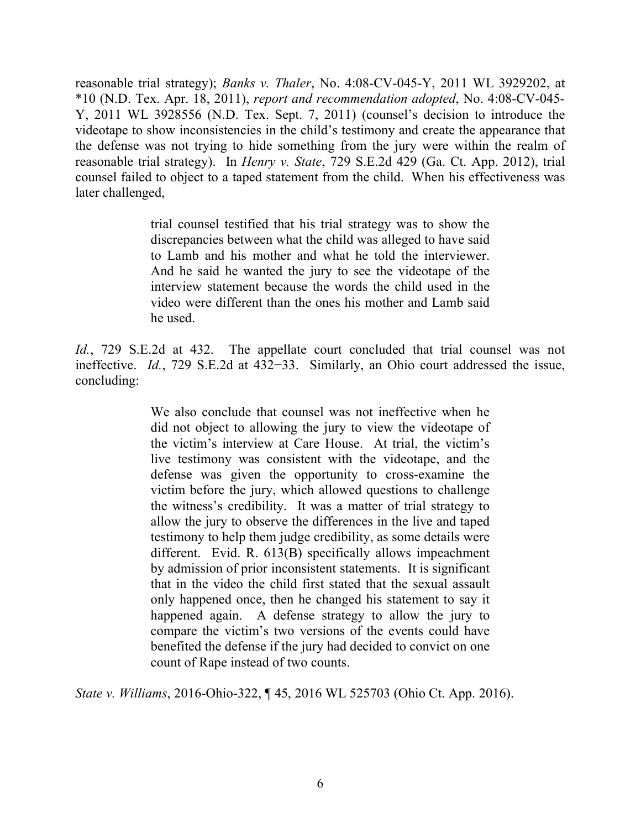reasonable trial strategy); *Banks v. Thaler*, No. 4:08-CV-045-Y, 2011 WL 3929202, at \*10 (N.D. Tex. Apr. 18, 2011), *report and recommendation adopted*, No. 4:08-CV-045- Y, 2011 WL 3928556 (N.D. Tex. Sept. 7, 2011) (counsel's decision to introduce the videotape to show inconsistencies in the child's testimony and create the appearance that the defense was not trying to hide something from the jury were within the realm of reasonable trial strategy). In *Henry v. State*, 729 S.E.2d 429 (Ga. Ct. App. 2012), trial counsel failed to object to a taped statement from the child. When his effectiveness was later challenged,

> trial counsel testified that his trial strategy was to show the discrepancies between what the child was alleged to have said to Lamb and his mother and what he told the interviewer. And he said he wanted the jury to see the videotape of the interview statement because the words the child used in the video were different than the ones his mother and Lamb said he used.

*Id.*, 729 S.E.2d at 432. The appellate court concluded that trial counsel was not ineffective. *Id.*, 729 S.E.2d at 432−33. Similarly, an Ohio court addressed the issue, concluding:

> We also conclude that counsel was not ineffective when he did not object to allowing the jury to view the videotape of the victim's interview at Care House. At trial, the victim's live testimony was consistent with the videotape, and the defense was given the opportunity to cross-examine the victim before the jury, which allowed questions to challenge the witness's credibility. It was a matter of trial strategy to allow the jury to observe the differences in the live and taped testimony to help them judge credibility, as some details were different. Evid. R. 613(B) specifically allows impeachment by admission of prior inconsistent statements. It is significant that in the video the child first stated that the sexual assault only happened once, then he changed his statement to say it happened again. A defense strategy to allow the jury to compare the victim's two versions of the events could have benefited the defense if the jury had decided to convict on one count of Rape instead of two counts.

*State v. Williams*, 2016-Ohio-322, ¶ 45, 2016 WL 525703 (Ohio Ct. App. 2016).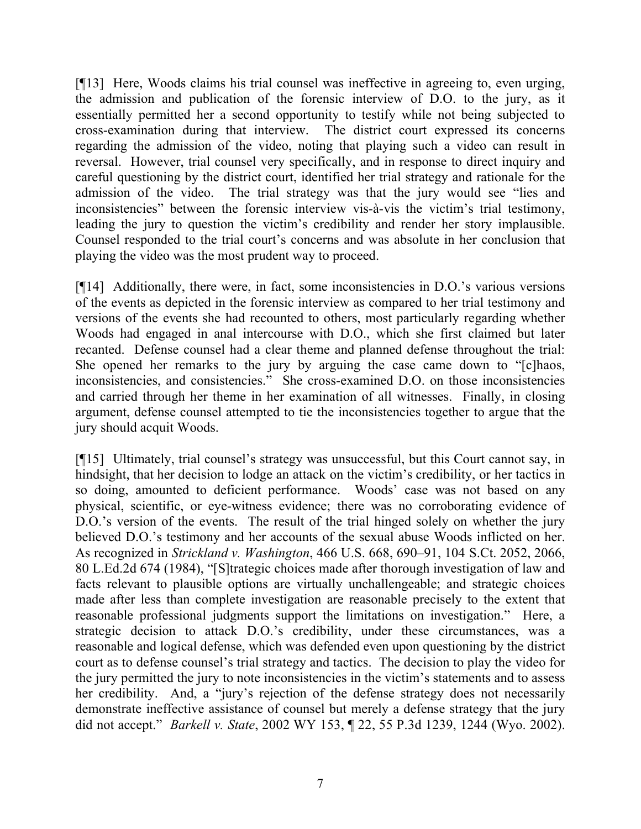[¶13] Here, Woods claims his trial counsel was ineffective in agreeing to, even urging, the admission and publication of the forensic interview of D.O. to the jury, as it essentially permitted her a second opportunity to testify while not being subjected to cross-examination during that interview. The district court expressed its concerns regarding the admission of the video, noting that playing such a video can result in reversal. However, trial counsel very specifically, and in response to direct inquiry and careful questioning by the district court, identified her trial strategy and rationale for the admission of the video. The trial strategy was that the jury would see "lies and inconsistencies" between the forensic interview vis-à-vis the victim's trial testimony, leading the jury to question the victim's credibility and render her story implausible. Counsel responded to the trial court's concerns and was absolute in her conclusion that playing the video was the most prudent way to proceed.

[¶14] Additionally, there were, in fact, some inconsistencies in D.O.'s various versions of the events as depicted in the forensic interview as compared to her trial testimony and versions of the events she had recounted to others, most particularly regarding whether Woods had engaged in anal intercourse with D.O., which she first claimed but later recanted. Defense counsel had a clear theme and planned defense throughout the trial: She opened her remarks to the jury by arguing the case came down to "[c]haos, inconsistencies, and consistencies." She cross-examined D.O. on those inconsistencies and carried through her theme in her examination of all witnesses. Finally, in closing argument, defense counsel attempted to tie the inconsistencies together to argue that the jury should acquit Woods.

[¶15] Ultimately, trial counsel's strategy was unsuccessful, but this Court cannot say, in hindsight, that her decision to lodge an attack on the victim's credibility, or her tactics in so doing, amounted to deficient performance. Woods' case was not based on any physical, scientific, or eye-witness evidence; there was no corroborating evidence of D.O.'s version of the events. The result of the trial hinged solely on whether the jury believed D.O.'s testimony and her accounts of the sexual abuse Woods inflicted on her. As recognized in *Strickland v. Washington*, 466 U.S. 668, 690–91, 104 S.Ct. 2052, 2066, 80 L.Ed.2d 674 (1984), "[S]trategic choices made after thorough investigation of law and facts relevant to plausible options are virtually unchallengeable; and strategic choices made after less than complete investigation are reasonable precisely to the extent that reasonable professional judgments support the limitations on investigation." Here, a strategic decision to attack D.O.'s credibility, under these circumstances, was a reasonable and logical defense, which was defended even upon questioning by the district court as to defense counsel's trial strategy and tactics. The decision to play the video for the jury permitted the jury to note inconsistencies in the victim's statements and to assess her credibility. And, a "jury's rejection of the defense strategy does not necessarily demonstrate ineffective assistance of counsel but merely a defense strategy that the jury did not accept." *Barkell v. State*, 2002 WY 153, ¶ 22, 55 P.3d 1239, 1244 (Wyo. 2002).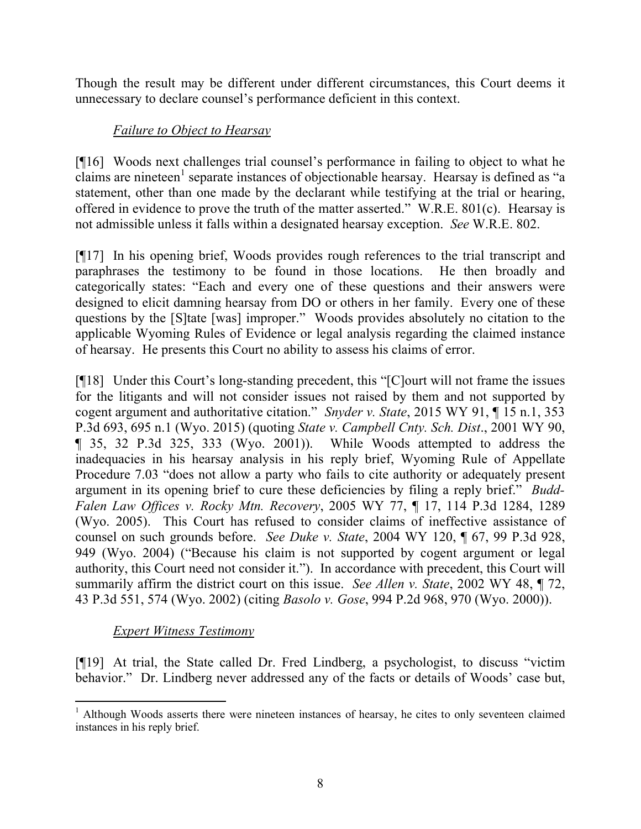Though the result may be different under different circumstances, this Court deems it unnecessary to declare counsel's performance deficient in this context.

# *Failure to Object to Hearsay*

[¶16] Woods next challenges trial counsel's performance in failing to object to what he claims are nineteen<sup>1</sup> separate instances of objectionable hearsay. Hearsay is defined as "a statement, other than one made by the declarant while testifying at the trial or hearing, offered in evidence to prove the truth of the matter asserted." W.R.E. 801(c). Hearsay is not admissible unless it falls within a designated hearsay exception. *See* W.R.E. 802.

[¶17] In his opening brief, Woods provides rough references to the trial transcript and paraphrases the testimony to be found in those locations. He then broadly and categorically states: "Each and every one of these questions and their answers were designed to elicit damning hearsay from DO or others in her family. Every one of these questions by the [S]tate [was] improper." Woods provides absolutely no citation to the applicable Wyoming Rules of Evidence or legal analysis regarding the claimed instance of hearsay. He presents this Court no ability to assess his claims of error.

[¶18] Under this Court's long-standing precedent, this "[C]ourt will not frame the issues for the litigants and will not consider issues not raised by them and not supported by cogent argument and authoritative citation." *Snyder v. State*, 2015 WY 91, ¶ 15 n.1, 353 P.3d 693, 695 n.1 (Wyo. 2015) (quoting *State v. Campbell Cnty. Sch. Dist*., 2001 WY 90, ¶ 35, 32 P.3d 325, 333 (Wyo. 2001)). While Woods attempted to address the inadequacies in his hearsay analysis in his reply brief, Wyoming Rule of Appellate Procedure 7.03 "does not allow a party who fails to cite authority or adequately present argument in its opening brief to cure these deficiencies by filing a reply brief." *Budd-Falen Law Offices v. Rocky Mtn. Recovery*, 2005 WY 77, ¶ 17, 114 P.3d 1284, 1289 (Wyo. 2005). This Court has refused to consider claims of ineffective assistance of counsel on such grounds before. *See Duke v. State*, 2004 WY 120, ¶ 67, 99 P.3d 928, 949 (Wyo. 2004) ("Because his claim is not supported by cogent argument or legal authority, this Court need not consider it."). In accordance with precedent, this Court will summarily affirm the district court on this issue. *See Allen v. State*, 2002 WY 48, ¶ 72, 43 P.3d 551, 574 (Wyo. 2002) (citing *Basolo v. Gose*, 994 P.2d 968, 970 (Wyo. 2000)).

# *Expert Witness Testimony*

l

[¶19] At trial, the State called Dr. Fred Lindberg, a psychologist, to discuss "victim behavior." Dr. Lindberg never addressed any of the facts or details of Woods' case but,

<sup>&</sup>lt;sup>1</sup> Although Woods asserts there were nineteen instances of hearsay, he cites to only seventeen claimed instances in his reply brief.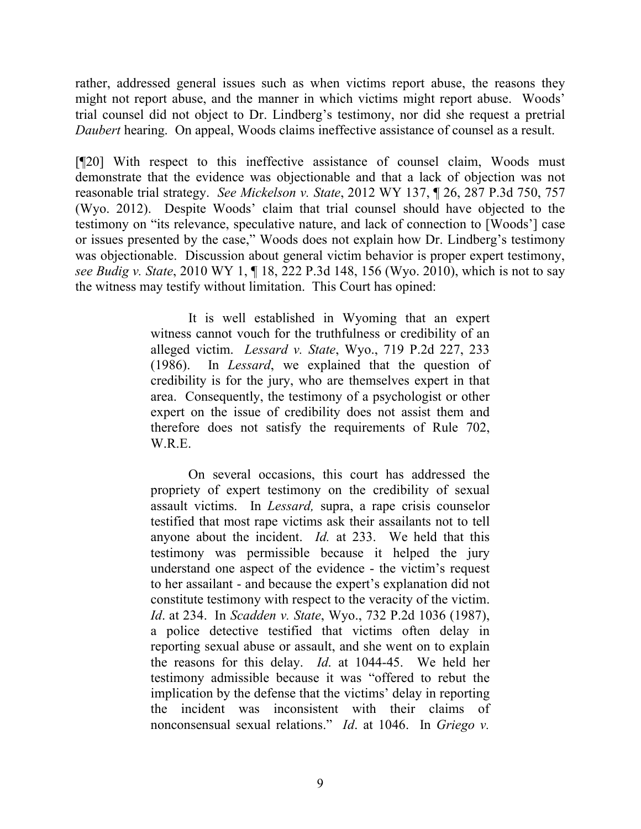rather, addressed general issues such as when victims report abuse, the reasons they might not report abuse, and the manner in which victims might report abuse. Woods' trial counsel did not object to Dr. Lindberg's testimony, nor did she request a pretrial *Daubert* hearing. On appeal, Woods claims ineffective assistance of counsel as a result.

[¶20] With respect to this ineffective assistance of counsel claim, Woods must demonstrate that the evidence was objectionable and that a lack of objection was not reasonable trial strategy. *See Mickelson v. State*, 2012 WY 137, ¶ 26, 287 P.3d 750, 757 (Wyo. 2012). Despite Woods' claim that trial counsel should have objected to the testimony on "its relevance, speculative nature, and lack of connection to [Woods'] case or issues presented by the case," Woods does not explain how Dr. Lindberg's testimony was objectionable. Discussion about general victim behavior is proper expert testimony, *see Budig v. State*, 2010 WY 1, ¶ 18, 222 P.3d 148, 156 (Wyo. 2010), which is not to say the witness may testify without limitation. This Court has opined:

> It is well established in Wyoming that an expert witness cannot vouch for the truthfulness or credibility of an alleged victim. *Lessard v. State*, Wyo., 719 P.2d 227, 233 (1986). In *Lessard*, we explained that the question of credibility is for the jury, who are themselves expert in that area. Consequently, the testimony of a psychologist or other expert on the issue of credibility does not assist them and therefore does not satisfy the requirements of Rule 702, W.R.E.

> On several occasions, this court has addressed the propriety of expert testimony on the credibility of sexual assault victims. In *Lessard,* supra, a rape crisis counselor testified that most rape victims ask their assailants not to tell anyone about the incident. *Id.* at 233. We held that this testimony was permissible because it helped the jury understand one aspect of the evidence - the victim's request to her assailant - and because the expert's explanation did not constitute testimony with respect to the veracity of the victim. *Id*. at 234. In *Scadden v. State*, Wyo., 732 P.2d 1036 (1987), a police detective testified that victims often delay in reporting sexual abuse or assault, and she went on to explain the reasons for this delay. *Id*. at 1044-45. We held her testimony admissible because it was "offered to rebut the implication by the defense that the victims' delay in reporting the incident was inconsistent with their claims of nonconsensual sexual relations." *Id*. at 1046. In *Griego v.*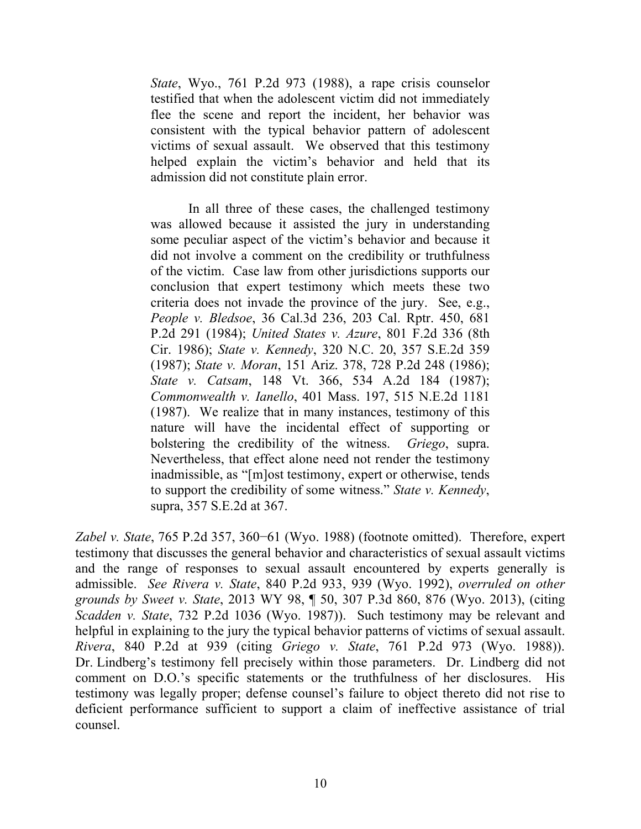*State*, Wyo., 761 P.2d 973 (1988), a rape crisis counselor testified that when the adolescent victim did not immediately flee the scene and report the incident, her behavior was consistent with the typical behavior pattern of adolescent victims of sexual assault. We observed that this testimony helped explain the victim's behavior and held that its admission did not constitute plain error.

In all three of these cases, the challenged testimony was allowed because it assisted the jury in understanding some peculiar aspect of the victim's behavior and because it did not involve a comment on the credibility or truthfulness of the victim. Case law from other jurisdictions supports our conclusion that expert testimony which meets these two criteria does not invade the province of the jury. See, e.g., *People v. Bledsoe*, 36 Cal.3d 236, 203 Cal. Rptr. 450, 681 P.2d 291 (1984); *United States v. Azure*, 801 F.2d 336 (8th Cir. 1986); *State v. Kennedy*, 320 N.C. 20, 357 S.E.2d 359 (1987); *State v. Moran*, 151 Ariz. 378, 728 P.2d 248 (1986); *State v. Catsam*, 148 Vt. 366, 534 A.2d 184 (1987); *Commonwealth v. Ianello*, 401 Mass. 197, 515 N.E.2d 1181 (1987). We realize that in many instances, testimony of this nature will have the incidental effect of supporting or bolstering the credibility of the witness. *Griego*, supra. Nevertheless, that effect alone need not render the testimony inadmissible, as "[m]ost testimony, expert or otherwise, tends to support the credibility of some witness." *State v. Kennedy*, supra, 357 S.E.2d at 367.

*Zabel v. State*, 765 P.2d 357, 360−61 (Wyo. 1988) (footnote omitted). Therefore, expert testimony that discusses the general behavior and characteristics of sexual assault victims and the range of responses to sexual assault encountered by experts generally is admissible. *See Rivera v. State*, 840 P.2d 933, 939 (Wyo. 1992), *overruled on other grounds by Sweet v. State*, 2013 WY 98, ¶ 50, 307 P.3d 860, 876 (Wyo. 2013), (citing *Scadden v. State*, 732 P.2d 1036 (Wyo. 1987)). Such testimony may be relevant and helpful in explaining to the jury the typical behavior patterns of victims of sexual assault. *Rivera*, 840 P.2d at 939 (citing *Griego v. State*, 761 P.2d 973 (Wyo. 1988)). Dr. Lindberg's testimony fell precisely within those parameters. Dr. Lindberg did not comment on D.O.'s specific statements or the truthfulness of her disclosures. His testimony was legally proper; defense counsel's failure to object thereto did not rise to deficient performance sufficient to support a claim of ineffective assistance of trial counsel.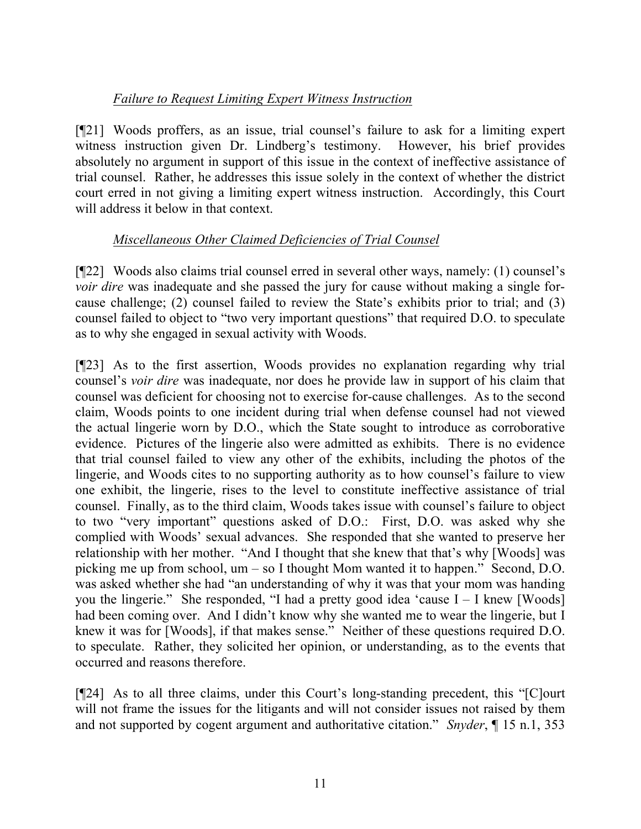# *Failure to Request Limiting Expert Witness Instruction*

[¶21] Woods proffers, as an issue, trial counsel's failure to ask for a limiting expert witness instruction given Dr. Lindberg's testimony. However, his brief provides absolutely no argument in support of this issue in the context of ineffective assistance of trial counsel. Rather, he addresses this issue solely in the context of whether the district court erred in not giving a limiting expert witness instruction. Accordingly, this Court will address it below in that context.

# *Miscellaneous Other Claimed Deficiencies of Trial Counsel*

[¶22] Woods also claims trial counsel erred in several other ways, namely: (1) counsel's *voir dire* was inadequate and she passed the jury for cause without making a single forcause challenge; (2) counsel failed to review the State's exhibits prior to trial; and (3) counsel failed to object to "two very important questions" that required D.O. to speculate as to why she engaged in sexual activity with Woods.

[¶23] As to the first assertion, Woods provides no explanation regarding why trial counsel's *voir dire* was inadequate, nor does he provide law in support of his claim that counsel was deficient for choosing not to exercise for-cause challenges. As to the second claim, Woods points to one incident during trial when defense counsel had not viewed the actual lingerie worn by D.O., which the State sought to introduce as corroborative evidence. Pictures of the lingerie also were admitted as exhibits. There is no evidence that trial counsel failed to view any other of the exhibits, including the photos of the lingerie, and Woods cites to no supporting authority as to how counsel's failure to view one exhibit, the lingerie, rises to the level to constitute ineffective assistance of trial counsel. Finally, as to the third claim, Woods takes issue with counsel's failure to object to two "very important" questions asked of D.O.: First, D.O. was asked why she complied with Woods' sexual advances. She responded that she wanted to preserve her relationship with her mother. "And I thought that she knew that that's why [Woods] was picking me up from school, um – so I thought Mom wanted it to happen." Second, D.O. was asked whether she had "an understanding of why it was that your mom was handing you the lingerie." She responded, "I had a pretty good idea 'cause I – I knew [Woods] had been coming over. And I didn't know why she wanted me to wear the lingerie, but I knew it was for [Woods], if that makes sense." Neither of these questions required D.O. to speculate. Rather, they solicited her opinion, or understanding, as to the events that occurred and reasons therefore.

[¶24] As to all three claims, under this Court's long-standing precedent, this "[C]ourt will not frame the issues for the litigants and will not consider issues not raised by them and not supported by cogent argument and authoritative citation." *Snyder*, ¶ 15 n.1, 353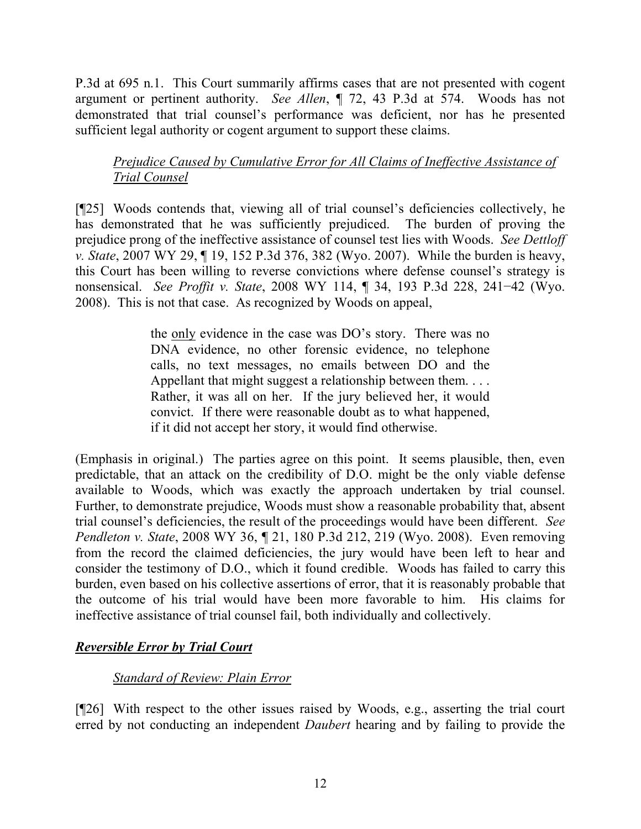P.3d at 695 n.1. This Court summarily affirms cases that are not presented with cogent argument or pertinent authority. *See Allen*, ¶ 72, 43 P.3d at 574. Woods has not demonstrated that trial counsel's performance was deficient, nor has he presented sufficient legal authority or cogent argument to support these claims.

# *Prejudice Caused by Cumulative Error for All Claims of Ineffective Assistance of Trial Counsel*

[¶25] Woods contends that, viewing all of trial counsel's deficiencies collectively, he has demonstrated that he was sufficiently prejudiced. The burden of proving the prejudice prong of the ineffective assistance of counsel test lies with Woods. *See Dettloff v. State*, 2007 WY 29, ¶ 19, 152 P.3d 376, 382 (Wyo. 2007). While the burden is heavy, this Court has been willing to reverse convictions where defense counsel's strategy is nonsensical. *See Proffit v. State*, 2008 WY 114, ¶ 34, 193 P.3d 228, 241−42 (Wyo. 2008). This is not that case. As recognized by Woods on appeal,

> the only evidence in the case was DO's story. There was no DNA evidence, no other forensic evidence, no telephone calls, no text messages, no emails between DO and the Appellant that might suggest a relationship between them. . . . Rather, it was all on her. If the jury believed her, it would convict. If there were reasonable doubt as to what happened, if it did not accept her story, it would find otherwise.

(Emphasis in original.) The parties agree on this point. It seems plausible, then, even predictable, that an attack on the credibility of D.O. might be the only viable defense available to Woods, which was exactly the approach undertaken by trial counsel. Further, to demonstrate prejudice, Woods must show a reasonable probability that, absent trial counsel's deficiencies, the result of the proceedings would have been different. *See Pendleton v. State*, 2008 WY 36, ¶ 21, 180 P.3d 212, 219 (Wyo. 2008). Even removing from the record the claimed deficiencies, the jury would have been left to hear and consider the testimony of D.O., which it found credible. Woods has failed to carry this burden, even based on his collective assertions of error, that it is reasonably probable that the outcome of his trial would have been more favorable to him. His claims for ineffective assistance of trial counsel fail, both individually and collectively.

# *Reversible Error by Trial Court*

### *Standard of Review: Plain Error*

[¶26] With respect to the other issues raised by Woods, e.g., asserting the trial court erred by not conducting an independent *Daubert* hearing and by failing to provide the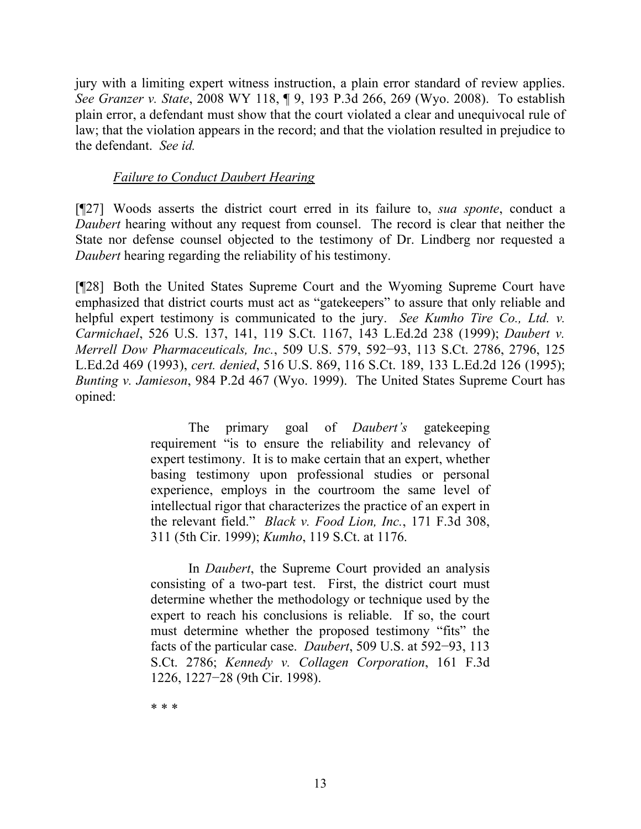jury with a limiting expert witness instruction, a plain error standard of review applies. *See Granzer v. State*, 2008 WY 118, ¶ 9, 193 P.3d 266, 269 (Wyo. 2008). To establish plain error, a defendant must show that the court violated a clear and unequivocal rule of law; that the violation appears in the record; and that the violation resulted in prejudice to the defendant. *See id.*

### *Failure to Conduct Daubert Hearing*

[¶27] Woods asserts the district court erred in its failure to, *sua sponte*, conduct a *Daubert* hearing without any request from counsel. The record is clear that neither the State nor defense counsel objected to the testimony of Dr. Lindberg nor requested a *Daubert* hearing regarding the reliability of his testimony.

[¶28] Both the United States Supreme Court and the Wyoming Supreme Court have emphasized that district courts must act as "gatekeepers" to assure that only reliable and helpful expert testimony is communicated to the jury. *See Kumho Tire Co., Ltd. v. Carmichael*, 526 U.S. 137, 141, 119 S.Ct. 1167, 143 L.Ed.2d 238 (1999); *Daubert v. Merrell Dow Pharmaceuticals, Inc.*, 509 U.S. 579, 592−93, 113 S.Ct. 2786, 2796, 125 L.Ed.2d 469 (1993), *cert. denied*, 516 U.S. 869, 116 S.Ct. 189, 133 L.Ed.2d 126 (1995); *Bunting v. Jamieson*, 984 P.2d 467 (Wyo. 1999). The United States Supreme Court has opined:

> The primary goal of *Daubert's* gatekeeping requirement "is to ensure the reliability and relevancy of expert testimony. It is to make certain that an expert, whether basing testimony upon professional studies or personal experience, employs in the courtroom the same level of intellectual rigor that characterizes the practice of an expert in the relevant field." *Black v. Food Lion, Inc.*, 171 F.3d 308, 311 (5th Cir. 1999); *Kumho*, 119 S.Ct. at 1176.

> In *Daubert*, the Supreme Court provided an analysis consisting of a two-part test. First, the district court must determine whether the methodology or technique used by the expert to reach his conclusions is reliable. If so, the court must determine whether the proposed testimony "fits" the facts of the particular case. *Daubert*, 509 U.S. at 592−93, 113 S.Ct. 2786; *Kennedy v. Collagen Corporation*, 161 F.3d 1226, 1227−28 (9th Cir. 1998).

\* \* \*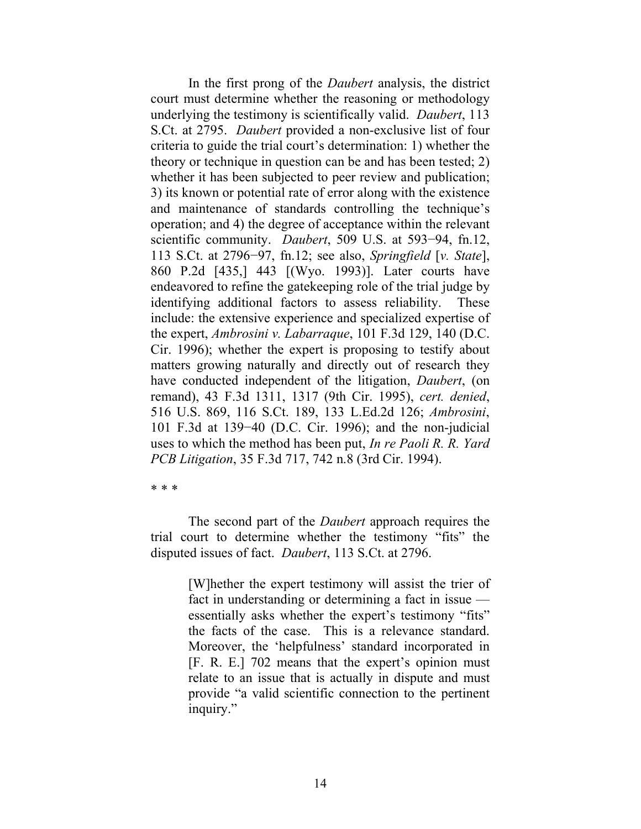In the first prong of the *Daubert* analysis, the district court must determine whether the reasoning or methodology underlying the testimony is scientifically valid. *Daubert*, 113 S.Ct. at 2795. *Daubert* provided a non-exclusive list of four criteria to guide the trial court's determination: 1) whether the theory or technique in question can be and has been tested; 2) whether it has been subjected to peer review and publication; 3) its known or potential rate of error along with the existence and maintenance of standards controlling the technique's operation; and 4) the degree of acceptance within the relevant scientific community. *Daubert*, 509 U.S. at 593−94, fn.12, 113 S.Ct. at 2796−97, fn.12; see also, *Springfield* [*v. State*], 860 P.2d [435,] 443 [(Wyo. 1993)]. Later courts have endeavored to refine the gatekeeping role of the trial judge by identifying additional factors to assess reliability. These include: the extensive experience and specialized expertise of the expert, *Ambrosini v. Labarraque*, 101 F.3d 129, 140 (D.C. Cir. 1996); whether the expert is proposing to testify about matters growing naturally and directly out of research they have conducted independent of the litigation, *Daubert*, (on remand), 43 F.3d 1311, 1317 (9th Cir. 1995), *cert. denied*, 516 U.S. 869, 116 S.Ct. 189, 133 L.Ed.2d 126; *Ambrosini*, 101 F.3d at 139−40 (D.C. Cir. 1996); and the non-judicial uses to which the method has been put, *In re Paoli R. R. Yard PCB Litigation*, 35 F.3d 717, 742 n.8 (3rd Cir. 1994).

\* \* \*

The second part of the *Daubert* approach requires the trial court to determine whether the testimony "fits" the disputed issues of fact. *Daubert*, 113 S.Ct. at 2796.

> [W]hether the expert testimony will assist the trier of fact in understanding or determining a fact in issue essentially asks whether the expert's testimony "fits" the facts of the case. This is a relevance standard. Moreover, the 'helpfulness' standard incorporated in [F. R. E.] 702 means that the expert's opinion must relate to an issue that is actually in dispute and must provide "a valid scientific connection to the pertinent inquiry."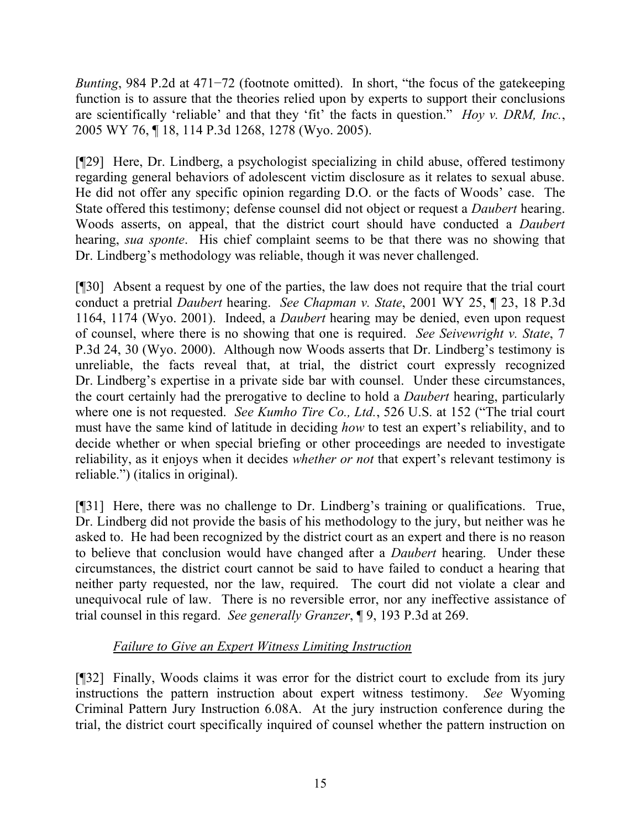*Bunting*, 984 P.2d at 471–72 (footnote omitted). In short, "the focus of the gatekeeping function is to assure that the theories relied upon by experts to support their conclusions are scientifically 'reliable' and that they 'fit' the facts in question." *Hoy v. DRM, Inc.*, 2005 WY 76, ¶ 18, 114 P.3d 1268, 1278 (Wyo. 2005).

[¶29] Here, Dr. Lindberg, a psychologist specializing in child abuse, offered testimony regarding general behaviors of adolescent victim disclosure as it relates to sexual abuse. He did not offer any specific opinion regarding D.O. or the facts of Woods' case. The State offered this testimony; defense counsel did not object or request a *Daubert* hearing. Woods asserts, on appeal, that the district court should have conducted a *Daubert* hearing, *sua sponte*. His chief complaint seems to be that there was no showing that Dr. Lindberg's methodology was reliable, though it was never challenged.

[¶30] Absent a request by one of the parties, the law does not require that the trial court conduct a pretrial *Daubert* hearing. *See Chapman v. State*, 2001 WY 25, ¶ 23, 18 P.3d 1164, 1174 (Wyo. 2001). Indeed, a *Daubert* hearing may be denied, even upon request of counsel, where there is no showing that one is required. *See Seivewright v. State*, 7 P.3d 24, 30 (Wyo. 2000). Although now Woods asserts that Dr. Lindberg's testimony is unreliable, the facts reveal that, at trial, the district court expressly recognized Dr. Lindberg's expertise in a private side bar with counsel. Under these circumstances, the court certainly had the prerogative to decline to hold a *Daubert* hearing, particularly where one is not requested. *See Kumho Tire Co., Ltd.*, 526 U.S. at 152 ("The trial court must have the same kind of latitude in deciding *how* to test an expert's reliability, and to decide whether or when special briefing or other proceedings are needed to investigate reliability, as it enjoys when it decides *whether or not* that expert's relevant testimony is reliable.") (italics in original).

[¶31] Here, there was no challenge to Dr. Lindberg's training or qualifications. True, Dr. Lindberg did not provide the basis of his methodology to the jury, but neither was he asked to. He had been recognized by the district court as an expert and there is no reason to believe that conclusion would have changed after a *Daubert* hearing. Under these circumstances, the district court cannot be said to have failed to conduct a hearing that neither party requested, nor the law, required. The court did not violate a clear and unequivocal rule of law. There is no reversible error, nor any ineffective assistance of trial counsel in this regard. *See generally Granzer*, ¶ 9, 193 P.3d at 269.

# *Failure to Give an Expert Witness Limiting Instruction*

[¶32] Finally, Woods claims it was error for the district court to exclude from its jury instructions the pattern instruction about expert witness testimony. *See* Wyoming Criminal Pattern Jury Instruction 6.08A. At the jury instruction conference during the trial, the district court specifically inquired of counsel whether the pattern instruction on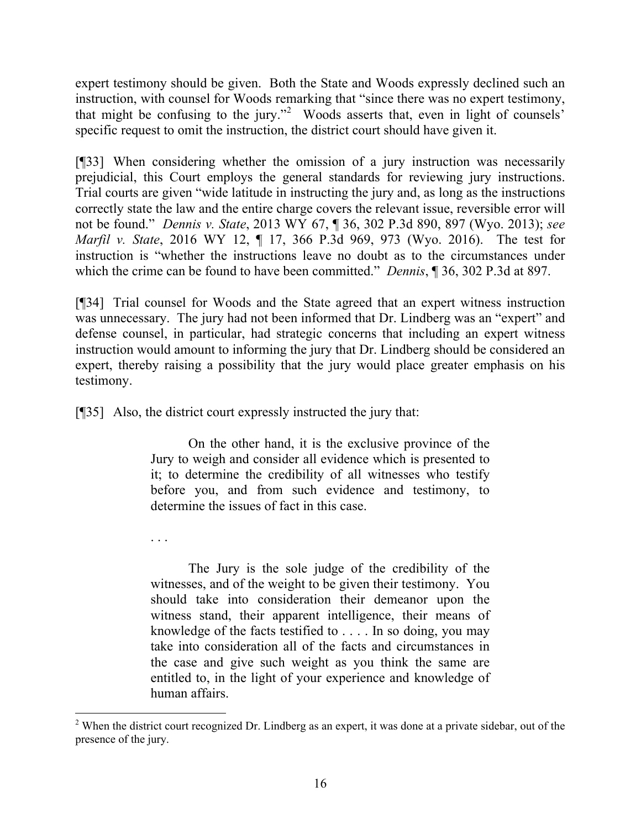expert testimony should be given. Both the State and Woods expressly declined such an instruction, with counsel for Woods remarking that "since there was no expert testimony, that might be confusing to the jury."<sup>2</sup> Woods asserts that, even in light of counsels' specific request to omit the instruction, the district court should have given it.

[¶33] When considering whether the omission of a jury instruction was necessarily prejudicial, this Court employs the general standards for reviewing jury instructions. Trial courts are given "wide latitude in instructing the jury and, as long as the instructions correctly state the law and the entire charge covers the relevant issue, reversible error will not be found." *Dennis v. State*, 2013 WY 67, ¶ 36, 302 P.3d 890, 897 (Wyo. 2013); *see Marfil v. State*, 2016 WY 12, ¶ 17, 366 P.3d 969, 973 (Wyo. 2016). The test for instruction is "whether the instructions leave no doubt as to the circumstances under which the crime can be found to have been committed." *Dennis*, ¶ 36, 302 P.3d at 897.

[¶34] Trial counsel for Woods and the State agreed that an expert witness instruction was unnecessary. The jury had not been informed that Dr. Lindberg was an "expert" and defense counsel, in particular, had strategic concerns that including an expert witness instruction would amount to informing the jury that Dr. Lindberg should be considered an expert, thereby raising a possibility that the jury would place greater emphasis on his testimony.

[¶35] Also, the district court expressly instructed the jury that:

. . .

 $\overline{a}$ 

On the other hand, it is the exclusive province of the Jury to weigh and consider all evidence which is presented to it; to determine the credibility of all witnesses who testify before you, and from such evidence and testimony, to determine the issues of fact in this case.

The Jury is the sole judge of the credibility of the witnesses, and of the weight to be given their testimony. You should take into consideration their demeanor upon the witness stand, their apparent intelligence, their means of knowledge of the facts testified to . . . . In so doing, you may take into consideration all of the facts and circumstances in the case and give such weight as you think the same are entitled to, in the light of your experience and knowledge of human affairs.

<sup>&</sup>lt;sup>2</sup> When the district court recognized Dr. Lindberg as an expert, it was done at a private sidebar, out of the presence of the jury.